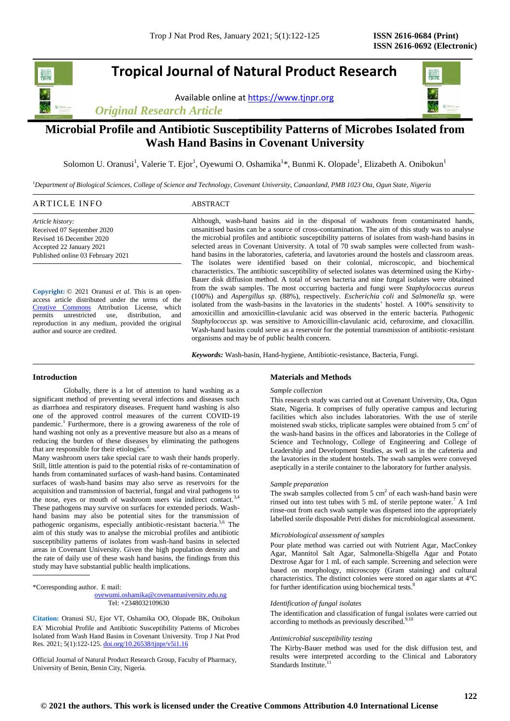# **Tropical Journal of Natural Product Research**

Available online a[t https://www.tjnpr.org](https://www.tjnpr.org/)

*Original Research Article*

## **Microbial Profile and Antibiotic Susceptibility Patterns of Microbes Isolated from Wash Hand Basins in Covenant University**

Solomon U. Oranusi<sup>1</sup>, Valerie T. Ejor<sup>1</sup>, Oyewumi O. Oshamika<sup>1</sup>\*, Bunmi K. Olopade<sup>1</sup>, Elizabeth A. Onibokun<sup>1</sup>

*<sup>1</sup>Department of Biological Sciences, College of Science and Technology, Covenant University, Canaanland, PMB 1023 Ota, Ogun State, Nigeria*

| ARTICLE INFO | ABSTRACT |
|--------------|----------|
|              |          |

*Article history:* Received 07 September 2020 Revised 16 December 2020 Accepted 22 January 2021 Published online 03 February 2021

**Copyright:** © 2021 Oranusi *et al*. This is an openaccess article distributed under the terms of the [Creative Commons](https://creativecommons.org/licenses/by/4.0/) Attribution License, which permits unrestricted use, distribution, and reproduction in any medium, provided the original author and source are credited.

Although, wash-hand basins aid in the disposal of washouts from contaminated hands, unsanitised basins can be a source of cross-contamination. The aim of this study was to analyse the microbial profiles and antibiotic susceptibility patterns of isolates from wash-hand basins in selected areas in Covenant University. A total of 70 swab samples were collected from washhand basins in the laboratories, cafeteria, and lavatories around the hostels and classroom areas. The isolates were identified based on their colonial, microscopic, and biochemical characteristics. The antibiotic susceptibility of selected isolates was determined using the Kirby-Bauer disk diffusion method. A total of seven bacteria and nine fungal isolates were obtained from the swab samples. The most occurring bacteria and fungi were *Staphylococcus aureus* (100%) and *Aspergillus sp*. (88%), respectively. *Escherichia coli* and *Salmonella sp.* were isolated from the wash-basins in the lavatories in the students' hostel. A 100% sensitivity to amoxicillin and amoxicillin-clavulanic acid was observed in the enteric bacteria. Pathogenic *Staphylococcus sp.* was sensitive to Amoxicillin-clavulanic acid, cefuroxime, and cloxacillin. Wash-hand basins could serve as a reservoir for the potential transmission of antibiotic-resistant organisms and may be of public health concern.

*Keywords:* Wash-basin, Hand-hygiene, Antibiotic-resistance, Bacteria, Fungi.

## **Introduction**

Globally, there is a lot of attention to hand washing as a significant method of preventing several infections and diseases such as diarrhoea and respiratory diseases. Frequent hand washing is also one of the approved control measures of the current COVID-19 pandemic.<sup>1</sup> Furthermore, there is a growing awareness of the role of hand washing not only as a preventive measure but also as a means of reducing the burden of these diseases by eliminating the pathogens that are responsible for their etiologies.<sup>2</sup>

Many washroom users take special care to wash their hands properly. Still, little attention is paid to the potential risks of re-contamination of hands from contaminated surfaces of wash-hand basins. Contaminated surfaces of wash-hand basins may also serve as reservoirs for the acquisition and transmission of bacterial, fungal and viral pathogens to the nose, eyes or mouth of washroom users via indirect contact.<sup>3</sup> These pathogens may survive on surfaces for extended periods. Washhand basins may also be potential sites for the transmission of pathogenic organisms, especially antibiotic-resistant bacteria.<sup>5,6</sup> The aim of this study was to analyse the microbial profiles and antibiotic susceptibility patterns of isolates from wash-hand basins in selected areas in Covenant University. Given the high population density and the rate of daily use of these wash hand basins, the findings from this study may have substantial public health implications.

\*Corresponding author. E mail:

 [oyewumi.oshamika@covenantuniversity.edu.ng](mailto:oyewumi.oshamika@covenantuniversity.edu.ng) Tel: +2348032109630

**Citation:** Oranusi SU, Ejor VT, Oshamika OO, Olopade BK, Onibokun EA. Microbial Profile and Antibiotic Susceptibility Patterns of Microbes Isolated from Wash Hand Basins in Covenant University*.* Trop J Nat Prod Res. 2021; 5(1):122-125. [doi.org/10.26538/tjnpr/v5i1.1](http://www.doi.org/10.26538/tjnpr/v1i4.5)6

Official Journal of Natural Product Research Group, Faculty of Pharmacy, University of Benin, Benin City, Nigeria.

## **Materials and Methods**

#### *Sample collection*

This research study was carried out at Covenant University, Ota, Ogun State, Nigeria. It comprises of fully operative campus and lecturing facilities which also includes laboratories. With the use of sterile moistened swab sticks, triplicate samples were obtained from  $5 \text{ cm}^2$  of the wash-hand basins in the offices and laboratories in the College of Science and Technology, College of Engineering and College of Leadership and Development Studies, as well as in the cafeteria and the lavatories in the student hostels. The swab samples were conveyed aseptically in a sterile container to the laboratory for further analysis.

#### *Sample preparation*

The swab samples collected from  $5 \text{ cm}^2$  of each wash-hand basin were rinsed out into test tubes with 5 mL of sterile peptone water.<sup>7</sup> A 1ml rinse-out from each swab sample was dispensed into the appropriately labelled sterile disposable Petri dishes for microbiological assessment.

#### *Microbiological assessment of samples*

Pour plate method was carried out with Nutrient Agar, MacConkey Agar, Mannitol Salt Agar, Salmonella-Shigella Agar and Potato Dextrose Agar for 1 mL of each sample. Screening and selection were based on morphology, microscopy (Gram staining) and cultural characteristics. The distinct colonies were stored on agar slants at 4°C for further identification using biochemical tests.<sup>8</sup>

## *Identification of fungal isolates*

The identification and classification of fungal isolates were carried out according to methods as previously described.<sup>9,10</sup>

#### *Antimicrobial susceptibility testing*

The Kirby-Bauer method was used for the disk diffusion test, and results were interpreted according to the Clinical and Laboratory Standards Institute.<sup>1</sup>

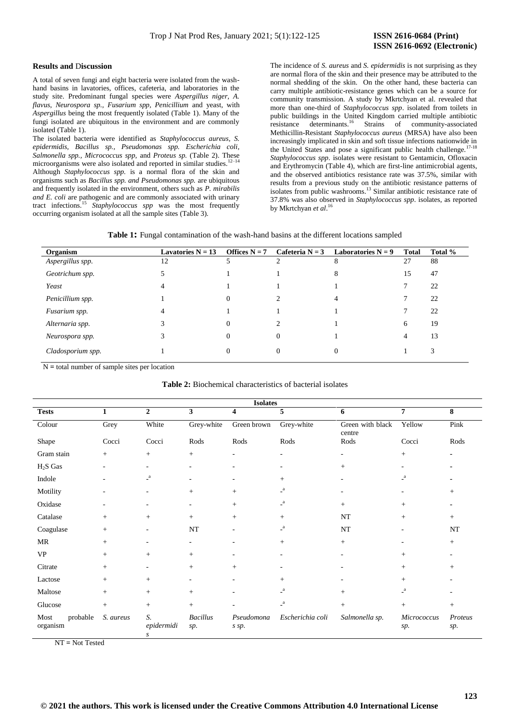## **Results and** D**iscussion**

A total of seven fungi and eight bacteria were isolated from the washhand basins in lavatories, offices, cafeteria, and laboratories in the study site. Predominant fungal species were *Aspergillus niger, A. flavus, Neurospora sp., Fusarium spp, Penicillium* and yeast, with *Aspergillus* being the most frequently isolated (Table 1). Many of the fungi isolated are ubiquitous in the environment and are commonly isolated (Table 1).

The isolated bacteria were identified as *Staphylococcus aureus, S. epidermidis, Bacillus sp., Pseudomonas spp. Escherichia coli, Salmonella spp., Micrococcus spp,* and *Proteus sp.* (Table 2). These microorganisms were also isolated and reported in similar studies.<sup>1</sup> Although *Staphylococcus spp.* is a normal flora of the skin and organisms such as *Bacillus spp. and Pseudomonas spp.* are ubiquitous and frequently isolated in the environment, others such as *P. mirabilis and E. coli* are pathogenic and are commonly associated with urinary tract infections.<sup>15</sup> *Staphylococcus spp* was the most frequently occurring organism isolated at all the sample sites (Table 3).

The incidence of *S. aureus* and *S. epidermidis* is not surprising as they are normal flora of the skin and their presence may be attributed to the normal shedding of the skin. On the other hand, these bacteria can carry multiple antibiotic-resistance genes which can be a source for community transmission. A study by Mkrtchyan et al. revealed that more than one-third of *Staphylococcus spp*. isolated from toilets in public buildings in the United Kingdom carried multiple antibiotic resistance determinants.<sup>16</sup> Strains of community-associated Methicillin-Resistant *Staphylococcus aureus* (MRSA) have also been increasingly implicated in skin and soft tissue infections nationwide in<br> $\frac{17-18}{17-18}$ the United States and pose a significant public health challenge.<sup>1</sup> *Staphylococcus spp*. isolates were resistant to Gentamicin, Ofloxacin and Erythromycin (Table 4), which are first-line antimicrobial agents, and the observed antibiotics resistance rate was 37.5%, similar with results from a previous study on the antibiotic resistance patterns of isolates from public washrooms.<sup>13</sup> Similar antibiotic resistance rate of 37.8% was also observed in *Staphylococcus spp*. isolates, as reported by Mkrtchyan *et al*. 16

| Organism          | Lavatories $N = 13$ | Offices $N = 7$ |          | Cafeteria $N = 3$ Laboratories $N = 9$ | <b>Total</b> | Total % |
|-------------------|---------------------|-----------------|----------|----------------------------------------|--------------|---------|
| Aspergillus spp.  | 12                  |                 |          | 8                                      | 27           | 88      |
| Geotrichum spp.   |                     |                 |          | 8                                      | 15           | 47      |
| Yeast             | 4                   |                 |          |                                        | 7            | 22      |
| Penicillium spp.  |                     | $\Omega$        | ∍        | 4                                      | 7            | 22      |
| Fusarium spp.     | 4                   |                 |          |                                        | 7            | 22      |
| Alternaria spp.   |                     | $\Omega$        | ∍        |                                        | 6            | 19      |
| Neurospora spp.   |                     | $\Omega$        | $\Omega$ |                                        | 4            | 13      |
| Cladosporium spp. |                     | $\Omega$        | $\Omega$ | $\theta$                               |              | 3       |

N **=** total number of sample sites per location

| <b>Isolates</b>              |           |                          |                         |                          |                          |                            |                           |                |
|------------------------------|-----------|--------------------------|-------------------------|--------------------------|--------------------------|----------------------------|---------------------------|----------------|
| <b>Tests</b>                 | 1         | $\mathbf{2}$             | $\overline{\mathbf{3}}$ | $\overline{\mathbf{4}}$  | 5                        | 6                          | $\overline{7}$            | 8              |
| Colour                       | Grey      | White                    | Grey-white              | Green brown              | Grey-white               | Green with black<br>centre | Yellow                    | Pink           |
| Shape                        | Cocci     | Cocci                    | Rods                    | Rods                     | Rods                     | Rods                       | Cocci                     | Rods           |
| Gram stain                   | $+$       | $^{+}$                   | $^{+}$                  | $\overline{\phantom{a}}$ | $\overline{\phantom{a}}$ | ٠                          | $^{+}$                    | ٠              |
| $H2S$ Gas                    | ٠         | $\overline{\phantom{0}}$ | $\sim$                  | ٠                        | $\overline{\phantom{a}}$ | $^{+}$                     |                           |                |
| Indole                       |           | $\mathsf{L}^\mathrm{a}$  | ۰                       |                          | $+$                      |                            | a<br>- 1                  |                |
| Motility                     | ٠         | ٠                        | $\! + \!\!\!\!$         | $+$                      | $\mathsf{L}^\mathsf{a}$  |                            |                           | $+$            |
| Oxidase                      |           | ٠                        | ۰                       | $+$                      | $\mathsf{L}^\mathsf{a}$  | $+$                        | $^{+}$                    |                |
| Catalase                     | $+$       | $^{+}$                   | $^{+}$                  | $+$                      | $+$                      | NT                         | $+$                       | $^{+}$         |
| Coagulase                    | $^{+}$    | ٠                        | <b>NT</b>               | ٠                        | $\mathsf{L}^\mathbf{a}$  | NT                         |                           | NT             |
| MR                           | $^{+}$    | ٠                        | $\sim$                  | $\overline{\phantom{a}}$ | $+$                      | $+$                        |                           | $^{+}$         |
| <b>VP</b>                    | $^{+}$    | $^{+}$                   | $^{+}$                  | $\overline{\phantom{a}}$ | $\overline{\phantom{a}}$ |                            | $^{+}$                    |                |
| Citrate                      | $+$       | $\overline{\phantom{0}}$ | $^{+}$                  | $+$                      | ٠                        |                            | $^{+}$                    | $+$            |
| Lactose                      | $^{+}$    | $^{+}$                   | ۰                       | $\overline{\phantom{a}}$ | $+$                      |                            | $^{+}$                    |                |
| Maltose                      | $+$       | $^{+}$                   | $^{+}$                  |                          | $\mathsf{L}^\mathrm{a}$  | $^{+}$                     | $\mathbf{a}$              |                |
| Glucose                      | $+$       | $+$                      | $^{+}$                  |                          | $\mathsf{L}^\mathrm{a}$  | $+$                        | $^{+}$                    | $+$            |
| probable<br>Most<br>organism | S. aureus | S.<br>epidermidi<br>S    | <b>Bacillus</b><br>sp.  | Pseudomona<br>s sp.      | Escherichia coli         | Salmonella sp.             | <b>Micrococcus</b><br>sp. | Proteus<br>sp. |

**Table 2:** Biochemical characteristics of bacterial isolates

NT **=** Not Tested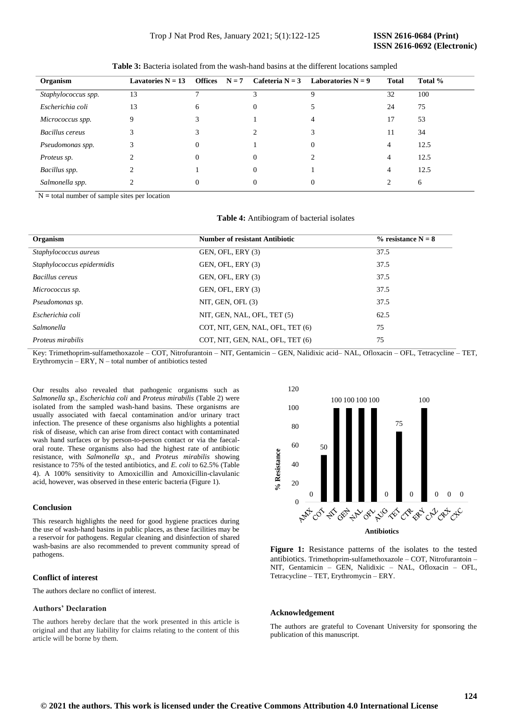| Organism            | Lavatories $N = 13$ |          |          | Offices $N = 7$ Cafeteria $N = 3$ Laboratories $N = 9$ | Total | Total % |
|---------------------|---------------------|----------|----------|--------------------------------------------------------|-------|---------|
| Staphylococcus spp. | 13                  |          |          | Q                                                      | 32    | 100     |
| Escherichia coli    | 13                  | 6        | $\theta$ |                                                        | 24    | 75      |
| Micrococcus spp.    | Q                   |          |          |                                                        | 17    | 53      |
| Bacillus cereus     | 3                   |          |          |                                                        | 11    | 34      |
| Pseudomonas spp.    |                     |          |          | $\Omega$                                               | 4     | 12.5    |
| Proteus sp.         |                     | $\Omega$ | $\Omega$ |                                                        | 4     | 12.5    |
| Bacillus spp.       |                     |          | $\Omega$ |                                                        | 4     | 12.5    |
| Salmonella spp.     |                     | $\Omega$ |          | $\Omega$                                               |       | 6       |

**Table 3:** Bacteria isolated from the wash-hand basins at the different locations sampled

N **=** total number of sample sites per location

|  | Table 4: Antibiogram of bacterial isolates |  |  |
|--|--------------------------------------------|--|--|
|--|--------------------------------------------|--|--|

| Organism                   | <b>Number of resistant Antibiotic</b> | $\%$ resistance N = 8 |
|----------------------------|---------------------------------------|-----------------------|
| Staphylococcus aureus      | GEN, OFL, ERY (3)                     | 37.5                  |
| Staphylococcus epidermidis | GEN, OFL, ERY (3)                     | 37.5                  |
| Bacillus cereus            | GEN, OFL, ERY (3)                     | 37.5                  |
| Micrococcus sp.            | GEN, OFL, ERY (3)                     | 37.5                  |
| Pseudomonas sp.            | NIT, GEN, OFL $(3)$                   | 37.5                  |
| Escherichia coli           | NIT, GEN, NAL, OFL, TET (5)           | 62.5                  |
| Salmonella                 | COT, NIT, GEN, NAL, OFL, TET (6)      | 75                    |
| Proteus mirabilis          | COT, NIT, GEN, NAL, OFL, TET (6)      | 75                    |

Key: Trimethoprim-sulfamethoxazole – COT, Nitrofurantoin – NIT, Gentamicin – GEN, Nalidixic acid– NAL, Ofloxacin – OFL, Tetracycline – TET, Erythromycin – ERY, N – total number of antibiotics tested

Our results also revealed that pathogenic organisms such as *Salmonella sp., Escherichia coli* and *Proteus mirabilis* (Table 2) were isolated from the sampled wash-hand basins*.* These organisms are usually associated with faecal contamination and/or urinary tract infection. The presence of these organisms also highlights a potential risk of disease, which can arise from direct contact with contaminated wash hand surfaces or by person-to-person contact or via the faecaloral route. These organisms also had the highest rate of antibiotic resistance, with *Salmonella sp.,* and *Proteus mirabilis* showing resistance to 75% of the tested antibiotics, and *E. coli* to 62.5% (Table 4). A 100% sensitivity to Amoxicillin and Amoxicillin-clavulanic acid, however, was observed in these enteric bacteria (Figure 1).

## **Conclusion**

This research highlights the need for good hygiene practices during the use of wash-hand basins in public places, as these facilities may be a reservoir for pathogens. Regular cleaning and disinfection of shared wash-basins are also recommended to prevent community spread of pathogens.

## **Conflict of interest**

The authors declare no conflict of interest.

## **Authors' Declaration**

The authors hereby declare that the work presented in this article is original and that any liability for claims relating to the content of this article will be borne by them.



**Figure 1:** Resistance patterns of the isolates to the tested antibiotics. Trimethoprim-sulfamethoxazole – COT, Nitrofurantoin – NIT, Gentamicin – GEN, Nalidixic – NAL, Ofloxacin – OFL, Tetracycline – TET, Erythromycin – ERY.

## **Acknowledgement**

The authors are grateful to Covenant University for sponsoring the publication of this manuscript.